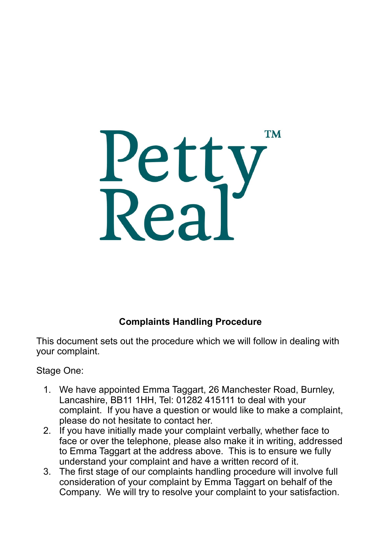

## **Complaints Handling Procedure**

This document sets out the procedure which we will follow in dealing with your complaint.

Stage One:

- 1. We have appointed Emma Taggart, 26 Manchester Road, Burnley, Lancashire, BB11 1HH, Tel: 01282 415111 to deal with your complaint. If you have a question or would like to make a complaint, please do not hesitate to contact her.
- 2. If you have initially made your complaint verbally, whether face to face or over the telephone, please also make it in writing, addressed to Emma Taggart at the address above. This is to ensure we fully understand your complaint and have a written record of it.
- 3. The first stage of our complaints handling procedure will involve full consideration of your complaint by Emma Taggart on behalf of the Company. We will try to resolve your complaint to your satisfaction.